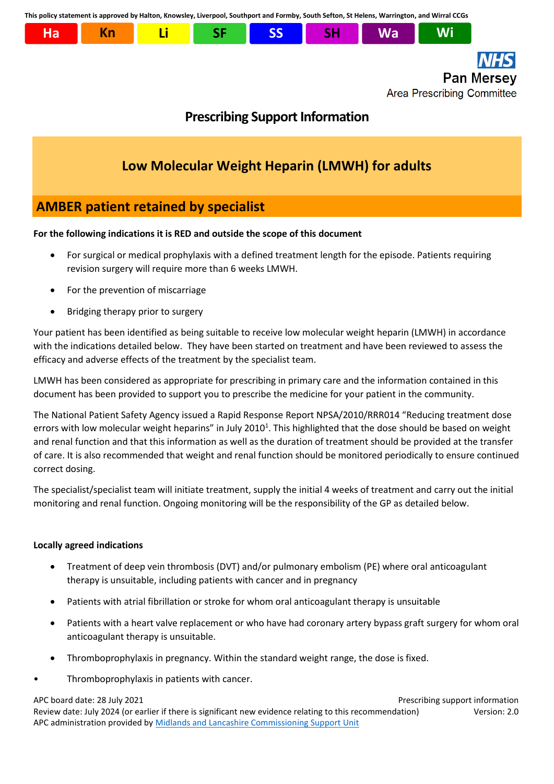**This policy statement is approved by Halton, Knowsley, Liverpool, Southport and Formby, South Sefton, St Helens, Warrington, and Wirral CCGs**



# **AMBER patient retained by specialist**

# **For the following indications it is RED and outside the scope of this document**

- For surgical or medical prophylaxis with a defined treatment length for the episode. Patients requiring revision surgery will require more than 6 weeks LMWH.
- For the prevention of miscarriage
- Bridging therapy prior to surgery

Your patient has been identified as being suitable to receive low molecular weight heparin (LMWH) in accordance with the indications detailed below. They have been started on treatment and have been reviewed to assess the efficacy and adverse effects of the treatment by the specialist team.

LMWH has been considered as appropriate for prescribing in primary care and the information contained in this document has been provided to support you to prescribe the medicine for your patient in the community.

The National Patient Safety Agency issued a Rapid Response Report NPSA/2010/RRR014 "Reducing treatment dose errors with low molecular weight heparins" in July 2010<sup>1</sup>. This highlighted that the dose should be based on weight and renal function and that this information as well as the duration of treatment should be provided at the transfer of care. It is also recommended that weight and renal function should be monitored periodically to ensure continued correct dosing.

The specialist/specialist team will initiate treatment, supply the initial 4 weeks of treatment and carry out the initial monitoring and renal function. Ongoing monitoring will be the responsibility of the GP as detailed below.

# **Locally agreed indications**

- Treatment of deep vein thrombosis (DVT) and/or pulmonary embolism (PE) where oral anticoagulant therapy is unsuitable, including patients with cancer and in pregnancy
- Patients with atrial fibrillation or stroke for whom oral anticoagulant therapy is unsuitable
- Patients with a heart valve replacement or who have had coronary artery bypass graft surgery for whom oral anticoagulant therapy is unsuitable.
- Thromboprophylaxis in pregnancy. Within the standard weight range, the dose is fixed.
- Thromboprophylaxis in patients with cancer.

APC board date: 28 July 2021 Prescribing support information

Review date: July 2024 (or earlier if there is significant new evidence relating to this recommendation) Version: 2.0 APC administration provided by [Midlands and Lancashire Commissioning Support Unit](https://www.midlandsandlancashirecsu.nhs.uk/)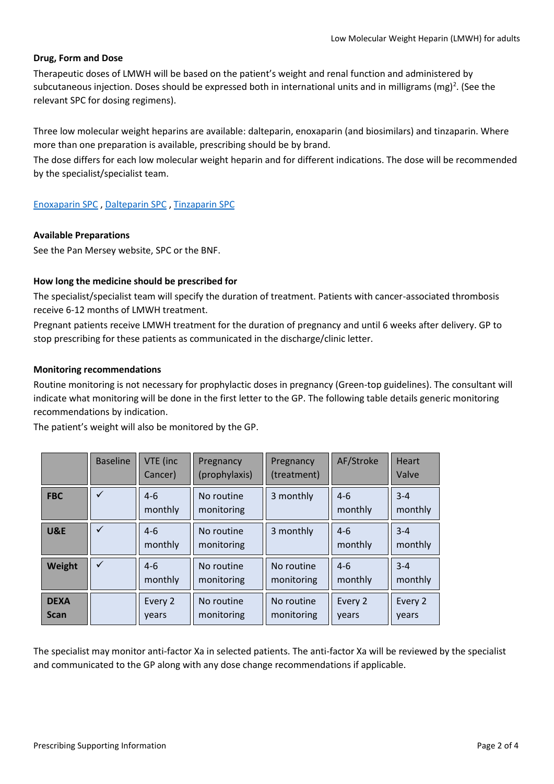#### **Drug, Form and Dose**

Therapeutic doses of LMWH will be based on the patient's weight and renal function and administered by subcutaneous injection. Doses should be expressed both in international units and in milligrams (mg)<sup>2</sup>. (See the relevant SPC for dosing regimens).

Three low molecular weight heparins are available: dalteparin, enoxaparin (and biosimilars) and tinzaparin. Where more than one preparation is available, prescribing should be by brand.

The dose differs for each low molecular weight heparin and for different indications. The dose will be recommended by the specialist/specialist team.

## [Enoxaparin SPC](https://www.medicines.org.uk/emc/search?q=%22enoxaparin+sodium%22) , [Dalteparin SPC](https://www.medicines.org.uk/emc/search?q=DALTEPARIN) [, Tinzaparin SPC](https://www.medicines.org.uk/emc/search?q=TINZAPARIN)

#### **Available Preparations**

See the Pan Mersey website, SPC or the BNF.

### **How long the medicine should be prescribed for**

The specialist/specialist team will specify the duration of treatment. Patients with cancer-associated thrombosis receive 6-12 months of LMWH treatment.

Pregnant patients receive LMWH treatment for the duration of pregnancy and until 6 weeks after delivery. GP to stop prescribing for these patients as communicated in the discharge/clinic letter.

#### **Monitoring recommendations**

Routine monitoring is not necessary for prophylactic doses in pregnancy (Green-top guidelines). The consultant will indicate what monitoring will be done in the first letter to the GP. The following table details generic monitoring recommendations by indication.

The patient's weight will also be monitored by the GP.

|                            | <b>Baseline</b> | VTE (inc<br>Cancer) | Pregnancy<br>(prophylaxis) | Pregnancy<br>(treatment) | AF/Stroke          | <b>Heart</b><br>Valve |
|----------------------------|-----------------|---------------------|----------------------------|--------------------------|--------------------|-----------------------|
| <b>FBC</b>                 | ✓               | $4-6$<br>monthly    | No routine<br>monitoring   | 3 monthly                | $4 - 6$<br>monthly | $3 - 4$<br>monthly    |
| U&E                        | ✓               | $4 - 6$<br>monthly  | No routine<br>monitoring   | 3 monthly                | $4 - 6$<br>monthly | $3 - 4$<br>monthly    |
| Weight                     |                 | $4-6$<br>monthly    | No routine<br>monitoring   | No routine<br>monitoring | $4 - 6$<br>monthly | $3 - 4$<br>monthly    |
| <b>DEXA</b><br><b>Scan</b> |                 | Every 2<br>vears    | No routine<br>monitoring   | No routine<br>monitoring | Every 2<br>years   | Every 2<br>years      |

The specialist may monitor anti-factor Xa in selected patients. The anti-factor Xa will be reviewed by the specialist and communicated to the GP along with any dose change recommendations if applicable.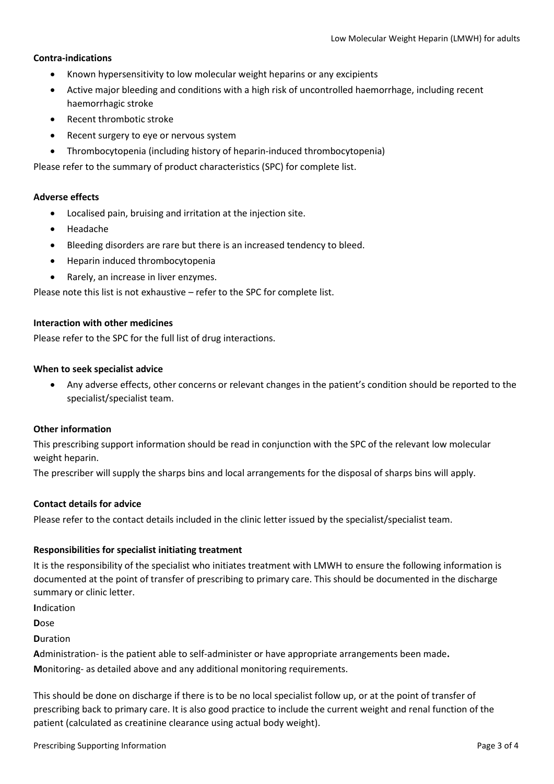#### **Contra-indications**

- Known hypersensitivity to low molecular weight heparins or any excipients
- Active major bleeding and conditions with a high risk of uncontrolled haemorrhage, including recent haemorrhagic stroke
- Recent thrombotic stroke
- Recent surgery to eye or nervous system
- Thrombocytopenia (including history of heparin-induced thrombocytopenia)

Please refer to the summary of product characteristics (SPC) for complete list.

#### **Adverse effects**

- Localised pain, bruising and irritation at the injection site.
- Headache
- Bleeding disorders are rare but there is an increased tendency to bleed.
- Heparin induced thrombocytopenia
- Rarely, an increase in liver enzymes.

Please note this list is not exhaustive – refer to the SPC for complete list.

#### **Interaction with other medicines**

Please refer to the SPC for the full list of drug interactions.

#### **When to seek specialist advice**

• Any adverse effects, other concerns or relevant changes in the patient's condition should be reported to the specialist/specialist team.

#### **Other information**

This prescribing support information should be read in conjunction with the SPC of the relevant low molecular weight heparin.

The prescriber will supply the sharps bins and local arrangements for the disposal of sharps bins will apply.

#### **Contact details for advice**

Please refer to the contact details included in the clinic letter issued by the specialist/specialist team.

#### **Responsibilities for specialist initiating treatment**

It is the responsibility of the specialist who initiates treatment with LMWH to ensure the following information is documented at the point of transfer of prescribing to primary care. This should be documented in the discharge summary or clinic letter.

**I**ndication

**D**ose

**D**uration

**A**dministration- is the patient able to self-administer or have appropriate arrangements been made**. M**onitoring- as detailed above and any additional monitoring requirements.

This should be done on discharge if there is to be no local specialist follow up, or at the point of transfer of prescribing back to primary care. It is also good practice to include the current weight and renal function of the patient (calculated as creatinine clearance using actual body weight).